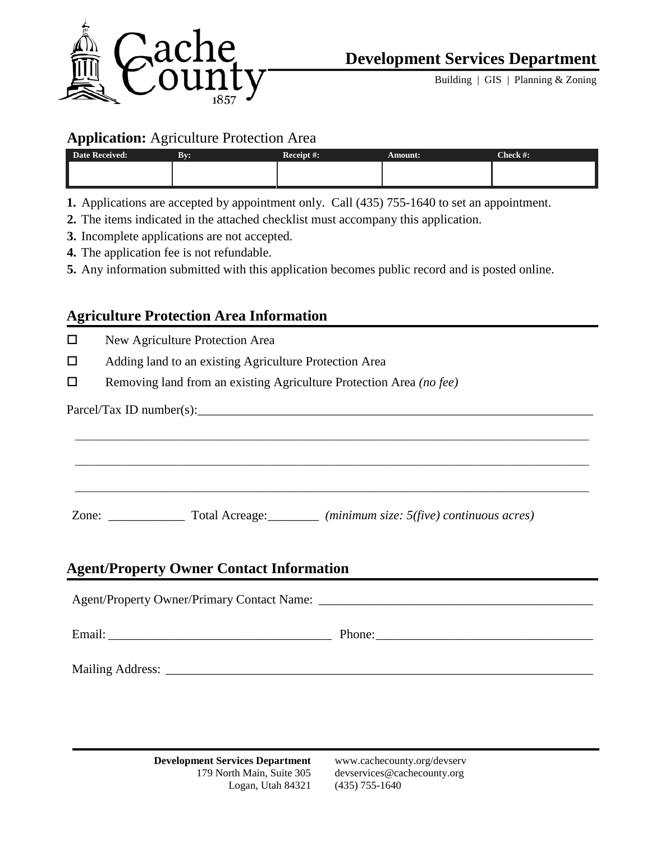

Building  $|$  GIS  $|$  Planning & Zoning

#### **Application:** Agriculture Protection Area

| Date Received: | By: | Receipt #: | <b>Amount:</b> | Check #: |
|----------------|-----|------------|----------------|----------|
|                |     |            |                |          |
|                |     |            |                |          |

**1.** Applications are accepted by appointment only. Call (435) 755-1640 to set an appointment.

- **2.** The items indicated in the attached checklist must accompany this application.
- **3.** Incomplete applications are not accepted.
- **4.** The application fee is not refundable.
- **5.** Any information submitted with this application becomes public record and is posted online.

## **Agriculture Protection Area Information**

New Agriculture Protection Area

- □ Adding land to an existing Agriculture Protection Area
- Removing land from an existing Agriculture Protection Area *(no fee)*

 $Pareel/Tax$  ID number(s):

Zone: \_\_\_\_\_\_\_\_\_\_\_\_ Total Acreage:\_\_\_\_\_\_\_\_ *(minimum size: 5(five) continuous acres)*

## **Agent/Property Owner Contact Information**

Agent/Property Owner/Primary Contact Name: \_\_\_\_\_\_\_\_\_\_\_\_\_\_\_\_\_\_\_\_\_\_\_\_\_\_\_\_\_\_\_\_\_\_\_\_\_\_\_\_\_\_\_

\_\_\_\_\_\_\_\_\_\_\_\_\_\_\_\_\_\_\_\_\_\_\_\_\_\_\_\_\_\_\_\_\_\_\_\_\_\_\_\_\_\_\_\_\_\_\_\_\_\_\_\_\_\_\_\_\_\_\_\_\_\_\_\_\_\_\_\_\_\_\_\_\_\_\_\_\_\_\_\_\_\_\_\_\_\_\_\_\_\_\_\_\_\_\_\_

\_\_\_\_\_\_\_\_\_\_\_\_\_\_\_\_\_\_\_\_\_\_\_\_\_\_\_\_\_\_\_\_\_\_\_\_\_\_\_\_\_\_\_\_\_\_\_\_\_\_\_\_\_\_\_\_\_\_\_\_\_\_\_\_\_\_\_\_\_\_\_\_\_\_\_\_\_\_\_\_\_\_\_\_\_\_\_\_\_\_\_\_\_\_\_\_

\_\_\_\_\_\_\_\_\_\_\_\_\_\_\_\_\_\_\_\_\_\_\_\_\_\_\_\_\_\_\_\_\_\_\_\_\_\_\_\_\_\_\_\_\_\_\_\_\_\_\_\_\_\_\_\_\_\_\_\_\_\_\_\_\_\_\_\_\_\_\_\_\_\_\_\_\_\_\_\_\_\_\_\_\_\_\_\_\_\_\_\_\_\_\_\_

Email: \_\_\_\_\_\_\_\_\_\_\_\_\_\_\_\_\_\_\_\_\_\_\_\_\_\_\_\_\_\_\_\_\_\_\_ Phone:\_\_\_\_\_\_\_\_\_\_\_\_\_\_\_\_\_\_\_\_\_\_\_\_\_\_\_\_\_\_\_\_\_\_

Mailing Address: \_\_\_\_\_\_\_\_\_\_\_\_\_\_\_\_\_\_\_\_\_\_\_\_\_\_\_\_\_\_\_\_\_\_\_\_\_\_\_\_\_\_\_\_\_\_\_\_\_\_\_\_\_\_\_\_\_\_\_\_\_\_\_\_\_\_\_

**Development Services Department** www.cachecounty.org/devserv Logan, Utah 84321 (435) 755-1640

179 North Main, Suite 305 devservices@cachecounty.org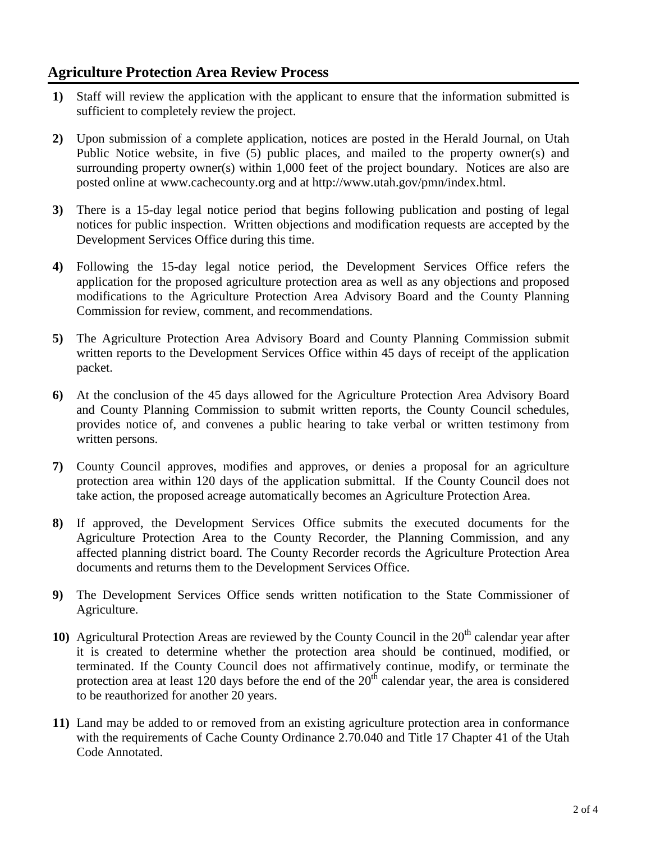# **Agriculture Protection Area Review Process**

- **1)** Staff will review the application with the applicant to ensure that the information submitted is sufficient to completely review the project.
- **2)** Upon submission of a complete application, notices are posted in the Herald Journal, on Utah Public Notice website, in five (5) public places, and mailed to the property owner(s) and surrounding property owner(s) within 1,000 feet of the project boundary. Notices are also are posted online at www.cachecounty.org and at http://www.utah.gov/pmn/index.html.
- **3)** There is a 15-day legal notice period that begins following publication and posting of legal notices for public inspection. Written objections and modification requests are accepted by the Development Services Office during this time.
- **4)** Following the 15-day legal notice period, the Development Services Office refers the application for the proposed agriculture protection area as well as any objections and proposed modifications to the Agriculture Protection Area Advisory Board and the County Planning Commission for review, comment, and recommendations.
- **5)** The Agriculture Protection Area Advisory Board and County Planning Commission submit written reports to the Development Services Office within 45 days of receipt of the application packet.
- **6)** At the conclusion of the 45 days allowed for the Agriculture Protection Area Advisory Board and County Planning Commission to submit written reports, the County Council schedules, provides notice of, and convenes a public hearing to take verbal or written testimony from written persons.
- **7)** County Council approves, modifies and approves, or denies a proposal for an agriculture protection area within 120 days of the application submittal. If the County Council does not take action, the proposed acreage automatically becomes an Agriculture Protection Area.
- **8)** If approved, the Development Services Office submits the executed documents for the Agriculture Protection Area to the County Recorder, the Planning Commission, and any affected planning district board. The County Recorder records the Agriculture Protection Area documents and returns them to the Development Services Office.
- **9)** The Development Services Office sends written notification to the State Commissioner of Agriculture.
- **10)** Agricultural Protection Areas are reviewed by the County Council in the 20<sup>th</sup> calendar year after it is created to determine whether the protection area should be continued, modified, or terminated. If the County Council does not affirmatively continue, modify, or terminate the protection area at least 120 days before the end of the  $20<sup>th</sup>$  calendar year, the area is considered to be reauthorized for another 20 years.
- **11)** Land may be added to or removed from an existing agriculture protection area in conformance with the requirements of Cache County Ordinance 2.70.040 and Title 17 Chapter 41 of the Utah Code Annotated.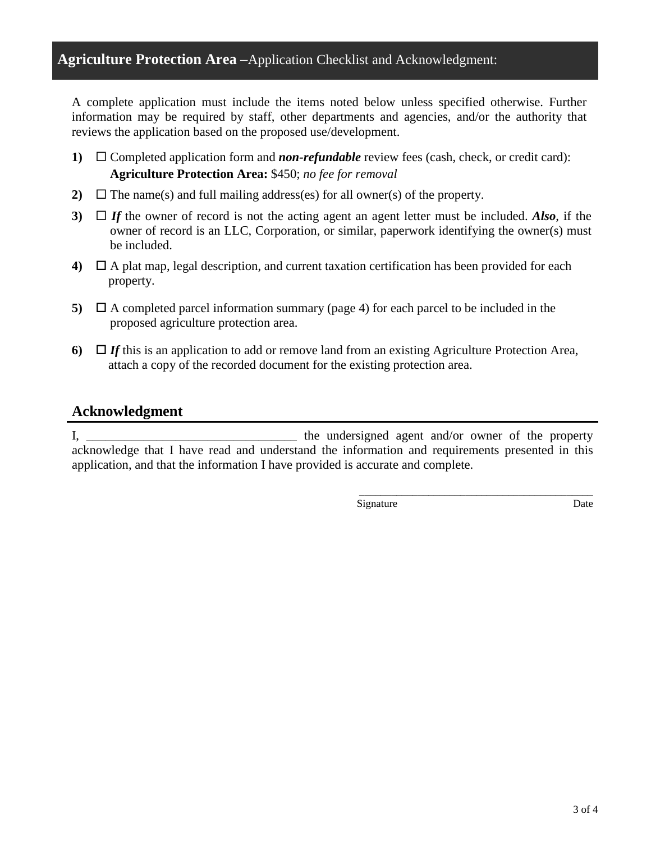A complete application must include the items noted below unless specified otherwise. Further information may be required by staff, other departments and agencies, and/or the authority that reviews the application based on the proposed use/development.

- **1)**  $\Box$  Completed application form and *non-refundable* review fees (cash, check, or credit card): **Agriculture Protection Area:** \$450; *no fee for removal*
- **2)**  $\Box$  The name(s) and full mailing address(es) for all owner(s) of the property.
- **3)**  $\Box$  *If* the owner of record is not the acting agent an agent letter must be included. Also, if the owner of record is an LLC, Corporation, or similar, paperwork identifying the owner(s) must be included.
- **4)**  $\Box$  A plat map, legal description, and current taxation certification has been provided for each property.
- **5)**  $\Box$  A completed parcel information summary (page 4) for each parcel to be included in the proposed agriculture protection area.
- **6)**  $\Box$  *If* this is an application to add or remove land from an existing Agriculture Protection Area, attach a copy of the recorded document for the existing protection area.

#### **Acknowledgment**

I, the undersigned agent and/or owner of the property acknowledge that I have read and understand the information and requirements presented in this application, and that the information I have provided is accurate and complete.

Signature Date

\_\_\_\_\_\_\_\_\_\_\_\_\_\_\_\_\_\_\_\_\_\_\_\_\_\_\_\_\_\_\_\_\_\_\_\_\_\_\_\_\_\_\_\_